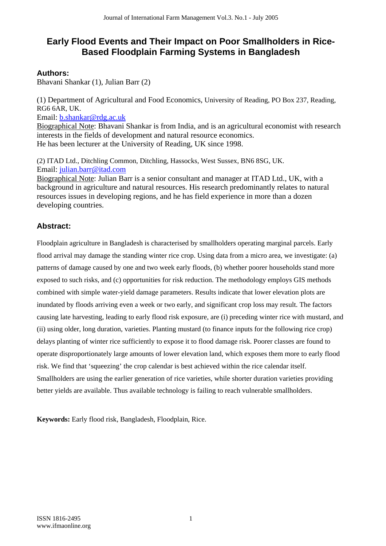# **Early Flood Events and Their Impact on Poor Smallholders in Rice-Based Floodplain Farming Systems in Bangladesh**

### **Authors:**

Bhavani Shankar (1), Julian Barr (2)

(1) Department of Agricultural and Food Economics, University of Reading, PO Box 237, Reading, RG6 6AR, UK. Email: b.shankar@rdg.ac.uk

Biographical Note: Bhavani Shankar is from India, and is an agricultural economist with research interests in the fields of development and natural resource economics. He has been lecturer at the University of Reading, UK since 1998.

(2) ITAD Ltd., Ditchling Common, Ditchling, Hassocks, West Sussex, BN6 8SG, UK. Email: julian.barr@itad.com

Biographical Note: Julian Barr is a senior consultant and manager at ITAD Ltd., UK, with a background in agriculture and natural resources. His research predominantly relates to natural resources issues in developing regions, and he has field experience in more than a dozen developing countries.

### **Abstract:**

Floodplain agriculture in Bangladesh is characterised by smallholders operating marginal parcels. Early flood arrival may damage the standing winter rice crop. Using data from a micro area, we investigate: (a) patterns of damage caused by one and two week early floods, (b) whether poorer households stand more exposed to such risks, and (c) opportunities for risk reduction. The methodology employs GIS methods combined with simple water-yield damage parameters. Results indicate that lower elevation plots are inundated by floods arriving even a week or two early, and significant crop loss may result. The factors causing late harvesting, leading to early flood risk exposure, are (i) preceding winter rice with mustard, and (ii) using older, long duration, varieties. Planting mustard (to finance inputs for the following rice crop) delays planting of winter rice sufficiently to expose it to flood damage risk. Poorer classes are found to operate disproportionately large amounts of lower elevation land, which exposes them more to early flood risk. We find that 'squeezing' the crop calendar is best achieved within the rice calendar itself. Smallholders are using the earlier generation of rice varieties, while shorter duration varieties providing better yields are available. Thus available technology is failing to reach vulnerable smallholders.

**Keywords:** Early flood risk, Bangladesh, Floodplain, Rice.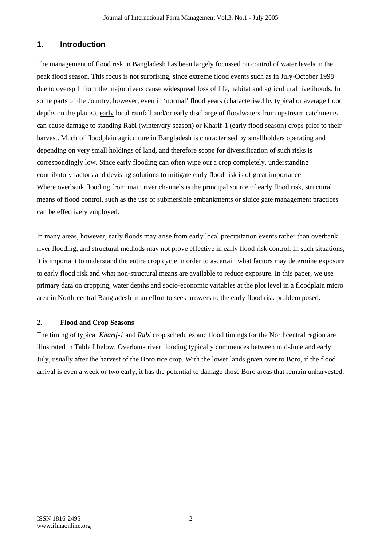#### **1. Introduction**

The management of flood risk in Bangladesh has been largely focussed on control of water levels in the peak flood season. This focus is not surprising, since extreme flood events such as in July-October 1998 due to overspill from the major rivers cause widespread loss of life, habitat and agricultural livelihoods. In some parts of the country, however, even in 'normal' flood years (characterised by typical or average flood depths on the plains), early local rainfall and/or early discharge of floodwaters from upstream catchments can cause damage to standing Rabi (winter/dry season) or Kharif-1 (early flood season) crops prior to their harvest. Much of floodplain agriculture in Bangladesh is characterised by smallholders operating and depending on very small holdings of land, and therefore scope for diversification of such risks is correspondingly low. Since early flooding can often wipe out a crop completely, understanding contributory factors and devising solutions to mitigate early flood risk is of great importance. Where overbank flooding from main river channels is the principal source of early flood risk, structural means of flood control, such as the use of submersible embankments or sluice gate management practices can be effectively employed.

In many areas, however, early floods may arise from early local precipitation events rather than overbank river flooding, and structural methods may not prove effective in early flood risk control. In such situations, it is important to understand the entire crop cycle in order to ascertain what factors may determine exposure to early flood risk and what non-structural means are available to reduce exposure. In this paper, we use primary data on cropping, water depths and socio-economic variables at the plot level in a floodplain micro area in North-central Bangladesh in an effort to seek answers to the early flood risk problem posed.

#### **2. Flood and Crop Seasons**

The timing of typical *Kharif-1* and *Rabi* crop schedules and flood timings for the Northcentral region are illustrated in Table I below. Overbank river flooding typically commences between mid-June and early July, usually after the harvest of the Boro rice crop. With the lower lands given over to Boro, if the flood arrival is even a week or two early, it has the potential to damage those Boro areas that remain unharvested.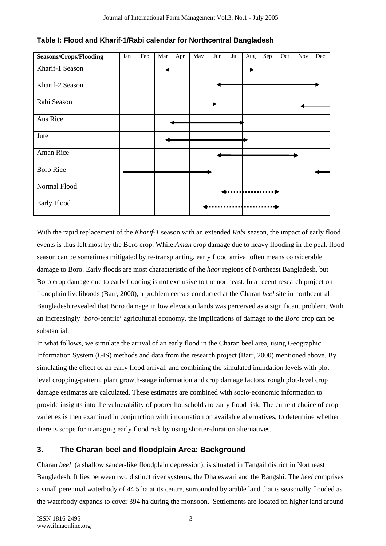| <b>Seasons/Crops/Flooding</b> | Jan | Feb | Mar | Apr | May | Jun | Jul | Aug | Sep | Oct | <b>Nov</b> | Dec |
|-------------------------------|-----|-----|-----|-----|-----|-----|-----|-----|-----|-----|------------|-----|
| Kharif-1 Season               |     |     |     |     |     |     |     |     |     |     |            |     |
| Kharif-2 Season               |     |     |     |     |     |     |     |     |     |     |            |     |
| Rabi Season                   |     |     |     |     |     |     |     |     |     |     |            |     |
| Aus Rice                      |     |     |     |     |     |     |     |     |     |     |            |     |
| Jute                          |     |     |     |     |     |     |     |     |     |     |            |     |
| Aman Rice                     |     |     |     |     |     |     |     |     |     |     |            |     |
| <b>Boro Rice</b>              |     |     |     |     |     |     |     |     |     |     |            |     |
| Normal Flood                  |     |     |     |     |     |     |     |     |     |     |            |     |
| Early Flood                   |     |     |     |     |     |     |     |     |     |     |            |     |

**Table I: Flood and Kharif-1/Rabi calendar for Northcentral Bangladesh** 

With the rapid replacement of the *Kharif-1* season with an extended *Rabi* season, the impact of early flood events is thus felt most by the Boro crop. While *Aman* crop damage due to heavy flooding in the peak flood season can be sometimes mitigated by re-transplanting, early flood arrival often means considerable damage to Boro. Early floods are most characteristic of the *haor* regions of Northeast Bangladesh, but Boro crop damage due to early flooding is not exclusive to the northeast. In a recent research project on floodplain livelihoods (Barr, 2000), a problem census conducted at the Charan *beel* site in northcentral Bangladesh revealed that Boro damage in low elevation lands was perceived as a significant problem. With an increasingly '*boro*-centric' agricultural economy, the implications of damage to the *Boro* crop can be substantial.

In what follows, we simulate the arrival of an early flood in the Charan beel area, using Geographic Information System (GIS) methods and data from the research project (Barr, 2000) mentioned above. By simulating the effect of an early flood arrival, and combining the simulated inundation levels with plot level cropping-pattern, plant growth-stage information and crop damage factors, rough plot-level crop damage estimates are calculated. These estimates are combined with socio-economic information to provide insights into the vulnerability of poorer households to early flood risk. The current choice of crop varieties is then examined in conjunction with information on available alternatives, to determine whether there is scope for managing early flood risk by using shorter-duration alternatives.

### **3. The Charan beel and floodplain Area: Background**

Charan *beel* (a shallow saucer-like floodplain depression), is situated in Tangail district in Northeast Bangladesh. It lies between two distinct river systems, the Dhaleswari and the Bangshi. The *beel* comprises a small perennial waterbody of 44.5 ha at its centre, surrounded by arable land that is seasonally flooded as the waterbody expands to cover 394 ha during the monsoon. Settlements are located on higher land around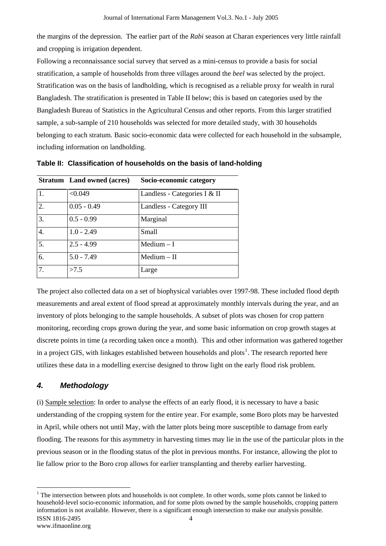the margins of the depression. The earlier part of the *Rabi* season at Charan experiences very little rainfall and cropping is irrigation dependent.

Following a reconnaissance social survey that served as a mini-census to provide a basis for social stratification, a sample of households from three villages around the *beel* was selected by the project. Stratification was on the basis of landholding, which is recognised as a reliable proxy for wealth in rural Bangladesh. The stratification is presented in Table II below; this is based on categories used by the Bangladesh Bureau of Statistics in the Agricultural Census and other reports. From this larger stratified sample, a sub-sample of 210 households was selected for more detailed study, with 30 households belonging to each stratum. Basic socio-economic data were collected for each household in the subsample, including information on landholding.

|                  | <b>Stratum</b> Land owned (acres) | Socio-economic category      |
|------------------|-----------------------------------|------------------------------|
| 1.               | < 0.049                           | Landless - Categories I & II |
| $\overline{2}$ . | $0.05 - 0.49$                     | Landless - Category III      |
| 3.               | $0.5 - 0.99$                      | Marginal                     |
| 4.               | $1.0 - 2.49$                      | Small                        |
| 5.               | $2.5 - 4.99$                      | $Median - I$                 |
| 6.               | $5.0 - 7.49$                      | $Median - II$                |
| 7.               | >7.5                              | Large                        |

**Table II: Classification of households on the basis of land-holding** 

The project also collected data on a set of biophysical variables over 1997-98. These included flood depth measurements and areal extent of flood spread at approximately monthly intervals during the year, and an inventory of plots belonging to the sample households. A subset of plots was chosen for crop pattern monitoring, recording crops grown during the year, and some basic information on crop growth stages at discrete points in time (a recording taken once a month). This and other information was gathered together in a project GIS, with linkages established between households and plots<sup>1</sup>. The research reported here utilizes these data in a modelling exercise designed to throw light on the early flood risk problem.

### *4. Methodology*

 $\overline{a}$ 

(i) Sample selection: In order to analyse the effects of an early flood, it is necessary to have a basic understanding of the cropping system for the entire year. For example, some Boro plots may be harvested in April, while others not until May, with the latter plots being more susceptible to damage from early flooding. The reasons for this asymmetry in harvesting times may lie in the use of the particular plots in the previous season or in the flooding status of the plot in previous months. For instance, allowing the plot to lie fallow prior to the Boro crop allows for earlier transplanting and thereby earlier harvesting.

ISSN 1816-2495 www.ifmaonline.org 4  $1$ <sup>1</sup> The intersection between plots and households is not complete. In other words, some plots cannot be linked to household-level socio-economic information, and for some plots owned by the sample households, cropping pattern information is not available. However, there is a significant enough intersection to make our analysis possible.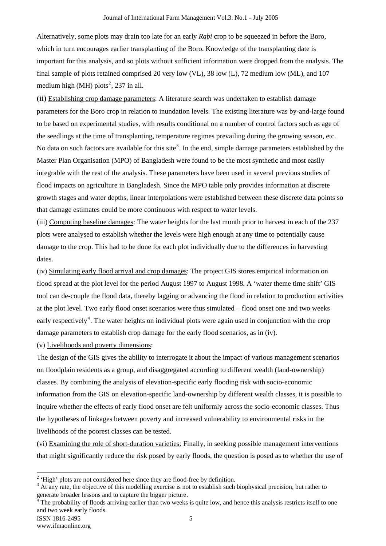Alternatively, some plots may drain too late for an early *Rabi* crop to be squeezed in before the Boro, which in turn encourages earlier transplanting of the Boro. Knowledge of the transplanting date is important for this analysis, and so plots without sufficient information were dropped from the analysis. The final sample of plots retained comprised 20 very low (VL), 38 low (L), 72 medium low (ML), and 107 medium high (MH) plots<sup>2</sup>, 237 in all.

(ii) Establishing crop damage parameters: A literature search was undertaken to establish damage parameters for the Boro crop in relation to inundation levels. The existing literature was by-and-large found to be based on experimental studies, with results conditional on a number of control factors such as age of the seedlings at the time of transplanting, temperature regimes prevailing during the growing season, etc. No data on such factors are available for this site<sup>3</sup>. In the end, simple damage parameters established by the Master Plan Organisation (MPO) of Bangladesh were found to be the most synthetic and most easily integrable with the rest of the analysis. These parameters have been used in several previous studies of flood impacts on agriculture in Bangladesh. Since the MPO table only provides information at discrete growth stages and water depths, linear interpolations were established between these discrete data points so that damage estimates could be more continuous with respect to water levels.

(iii) Computing baseline damages: The water heights for the last month prior to harvest in each of the 237 plots were analysed to establish whether the levels were high enough at any time to potentially cause damage to the crop. This had to be done for each plot individually due to the differences in harvesting dates.

(iv) Simulating early flood arrival and crop damages: The project GIS stores empirical information on flood spread at the plot level for the period August 1997 to August 1998. A 'water theme time shift' GIS tool can de-couple the flood data, thereby lagging or advancing the flood in relation to production activities at the plot level. Two early flood onset scenarios were thus simulated – flood onset one and two weeks early respectively<sup>4</sup>. The water heights on individual plots were again used in conjunction with the crop damage parameters to establish crop damage for the early flood scenarios, as in (iv).

(v) Livelihoods and poverty dimensions:

The design of the GIS gives the ability to interrogate it about the impact of various management scenarios on floodplain residents as a group, and disaggregated according to different wealth (land-ownership) classes. By combining the analysis of elevation-specific early flooding risk with socio-economic information from the GIS on elevation-specific land-ownership by different wealth classes, it is possible to inquire whether the effects of early flood onset are felt uniformly across the socio-economic classes. Thus the hypotheses of linkages between poverty and increased vulnerability to environmental risks in the livelihoods of the poorest classes can be tested.

(vi) Examining the role of short-duration varieties: Finally, in seeking possible management interventions that might significantly reduce the risk posed by early floods, the question is posed as to whether the use of

 $\overline{a}$ 

<sup>&</sup>lt;sup>2</sup> 'High' plots are not considered here since they are flood-free by definition.

 $3$  At any rate, the objective of this modelling exercise is not to establish such biophysical precision, but rather to generate broader lessons and to capture the bigger picture.

<sup>4</sup> The probability of floods arriving earlier than two weeks is quite low, and hence this analysis restricts itself to one and two week early floods.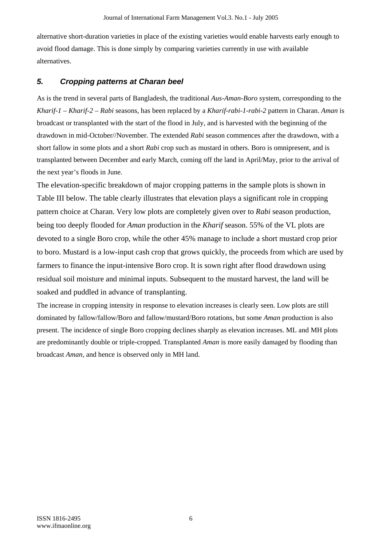alternative short-duration varieties in place of the existing varieties would enable harvests early enough to avoid flood damage. This is done simply by comparing varieties currently in use with available alternatives.

### *5. Cropping patterns at Charan beel*

As is the trend in several parts of Bangladesh, the traditional *Aus-Aman-Boro* system, corresponding to the *Kharif-1 – Kharif-2 – Rabi* seasons, has been replaced by a *Kharif-rabi-1-rabi-2* pattern in Charan. *Aman* is broadcast or transplanted with the start of the flood in July, and is harvested with the beginning of the drawdown in mid-October//November. The extended *Rabi* season commences after the drawdown, with a short fallow in some plots and a short *Rabi* crop such as mustard in others. Boro is omnipresent, and is transplanted between December and early March, coming off the land in April/May, prior to the arrival of the next year's floods in June.

The elevation-specific breakdown of major cropping patterns in the sample plots is shown in Table III below. The table clearly illustrates that elevation plays a significant role in cropping pattern choice at Charan. Very low plots are completely given over to *Rabi* season production, being too deeply flooded for *Aman* production in the *Kharif* season. 55% of the VL plots are devoted to a single Boro crop, while the other 45% manage to include a short mustard crop prior to boro. Mustard is a low-input cash crop that grows quickly, the proceeds from which are used by farmers to finance the input-intensive Boro crop. It is sown right after flood drawdown using residual soil moisture and minimal inputs. Subsequent to the mustard harvest, the land will be soaked and puddled in advance of transplanting.

The increase in cropping intensity in response to elevation increases is clearly seen. Low plots are still dominated by fallow/fallow/Boro and fallow/mustard/Boro rotations, but some *Aman* production is also present. The incidence of single Boro cropping declines sharply as elevation increases. ML and MH plots are predominantly double or triple-cropped. Transplanted *Aman* is more easily damaged by flooding than broadcast *Aman*, and hence is observed only in MH land.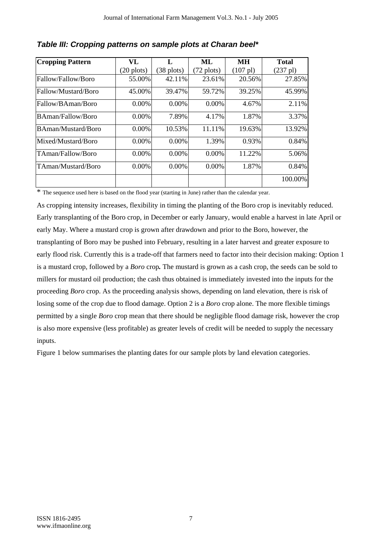| <b>Cropping Pattern</b>   | VL                   |                      | ML                   | MН                 | <b>Total</b>       |
|---------------------------|----------------------|----------------------|----------------------|--------------------|--------------------|
|                           | $(20 \text{ plots})$ | $(38 \text{ plots})$ | $(72 \text{ plots})$ | $(107 \text{ pl})$ | $(237 \text{ pl})$ |
| Fallow/Fallow/Boro        | 55.00%               | 42.11%               | 23.61%               | 20.56%             | 27.85%             |
| Fallow/Mustard/Boro       | 45.00%               | 39.47%               | 59.72%               | 39.25%             | 45.99%             |
| Fallow/BAman/Boro         | 0.00%                | 0.00%                | 0.00%                | 4.67%              | 2.11%              |
| <b>BAman/Fallow/Boro</b>  | 0.00%                | 7.89%                | 4.17%                | 1.87%              | 3.37%              |
| <b>BAman/Mustard/Boro</b> | 0.00%                | 10.53%               | 11.11%               | 19.63%             | 13.92%             |
| Mixed/Mustard/Boro        | $0.00\%$             | $0.00\%$             | 1.39%                | 0.93%              | 0.84%              |
| TAman/Fallow/Boro         | 0.00%                | 0.00%                | $0.00\%$             | 11.22%             | 5.06%              |
| TAman/Mustard/Boro        | 0.00%                | 0.00%                | 0.00%                | 1.87%              | 0.84%              |
|                           |                      |                      |                      |                    | 100.00%            |

*Table III: Cropping patterns on sample plots at Charan beel\** 

\* The sequence used here is based on the flood year (starting in June) rather than the calendar year.

As cropping intensity increases, flexibility in timing the planting of the Boro crop is inevitably reduced. Early transplanting of the Boro crop, in December or early January, would enable a harvest in late April or early May. Where a mustard crop is grown after drawdown and prior to the Boro, however, the transplanting of Boro may be pushed into February, resulting in a later harvest and greater exposure to early flood risk. Currently this is a trade-off that farmers need to factor into their decision making: Option 1 is a mustard crop, followed by a *Boro* crop*.* The mustard is grown as a cash crop, the seeds can be sold to millers for mustard oil production; the cash thus obtained is immediately invested into the inputs for the proceeding *Boro* crop. As the proceeding analysis shows, depending on land elevation, there is risk of losing some of the crop due to flood damage. Option 2 is a *Boro* crop alone. The more flexible timings permitted by a single *Boro* crop mean that there should be negligible flood damage risk, however the crop is also more expensive (less profitable) as greater levels of credit will be needed to supply the necessary inputs.

Figure 1 below summarises the planting dates for our sample plots by land elevation categories.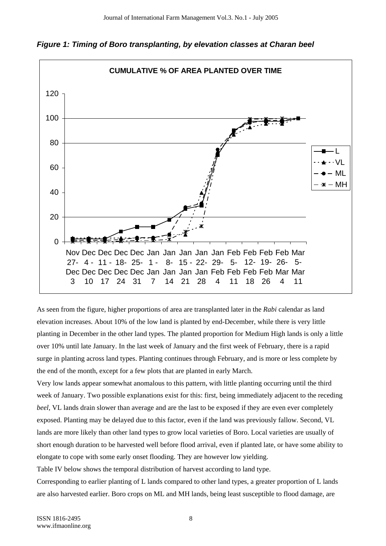

*Figure 1: Timing of Boro transplanting, by elevation classes at Charan beel* 

As seen from the figure, higher proportions of area are transplanted later in the *Rabi* calendar as land elevation increases. About 10% of the low land is planted by end-December, while there is very little planting in December in the other land types. The planted proportion for Medium High lands is only a little over 10% until late January. In the last week of January and the first week of February, there is a rapid surge in planting across land types. Planting continues through February, and is more or less complete by the end of the month, except for a few plots that are planted in early March.

Very low lands appear somewhat anomalous to this pattern, with little planting occurring until the third week of January. Two possible explanations exist for this: first, being immediately adjacent to the receding *beel*, VL lands drain slower than average and are the last to be exposed if they are even ever completely exposed. Planting may be delayed due to this factor, even if the land was previously fallow. Second, VL lands are more likely than other land types to grow local varieties of Boro. Local varieties are usually of short enough duration to be harvested well before flood arrival, even if planted late, or have some ability to elongate to cope with some early onset flooding. They are however low yielding.

Table IV below shows the temporal distribution of harvest according to land type.

Corresponding to earlier planting of L lands compared to other land types, a greater proportion of L lands are also harvested earlier. Boro crops on ML and MH lands, being least susceptible to flood damage, are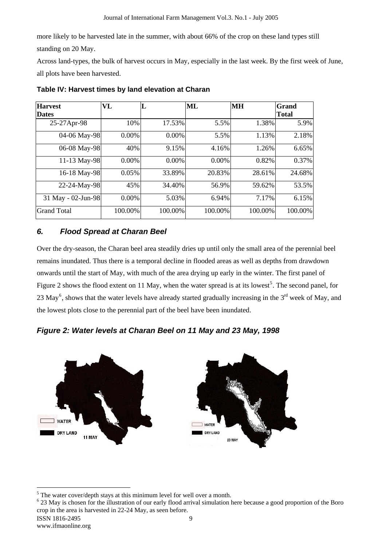more likely to be harvested late in the summer, with about 66% of the crop on these land types still standing on 20 May.

Across land-types, the bulk of harvest occurs in May, especially in the last week. By the first week of June, all plots have been harvested.

| <b>Harvest</b><br><b>Dates</b> | VL       | L        | $\bf ML$ | MН      | Grand<br><b>Total</b> |
|--------------------------------|----------|----------|----------|---------|-----------------------|
| 25-27Apr-98                    | 10%      | 17.53%   | 5.5%     | 1.38%   | 5.9%                  |
| 04-06 May-98                   | $0.00\%$ | $0.00\%$ | 5.5%     | 1.13%   | 2.18%                 |
| 06-08 May-98                   | 40%      | 9.15%    | 4.16%    | 1.26%   | 6.65%                 |
| 11-13 May-98                   | 0.00%    | 0.00%    | 0.00%    | 0.82%   | 0.37%                 |
| 16-18 May-98                   | 0.05%    | 33.89%   | 20.83%   | 28.61%  | 24.68%                |
| 22-24-May-98                   | 45%      | 34.40%   | 56.9%    | 59.62%  | 53.5%                 |
| 31 May - 02-Jun-98             | $0.00\%$ | 5.03%    | 6.94%    | 7.17%   | 6.15%                 |
| <b>Grand Total</b>             | 100.00%  | 100.00%  | 100.00%  | 100.00% | 100.00%               |

**Table IV: Harvest times by land elevation at Charan** 

### *6. Flood Spread at Charan Beel*

Over the dry-season, the Charan beel area steadily dries up until only the small area of the perennial beel remains inundated. Thus there is a temporal decline in flooded areas as well as depths from drawdown onwards until the start of May, with much of the area drying up early in the winter. The first panel of Figure 2 shows the flood extent on 11 May, when the water spread is at its lowest<sup>5</sup>. The second panel, for 23 May<sup>6</sup>, shows that the water levels have already started gradually increasing in the  $3<sup>rd</sup>$  week of May, and the lowest plots close to the perennial part of the beel have been inundated.





 $\overline{a}$  $<sup>5</sup>$  The water cover/depth stays at this minimum level for well over a month.</sup>

<sup>&</sup>lt;sup>6</sup> 23 May is chosen for the illustration of our early flood arrival simulation here because a good proportion of the Boro crop in the area is harvested in 22-24 May, as seen before.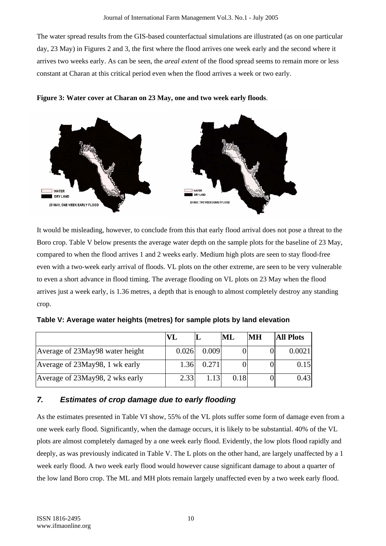The water spread results from the GIS-based counterfactual simulations are illustrated (as on one particular day, 23 May) in Figures 2 and 3, the first where the flood arrives one week early and the second where it arrives two weeks early. As can be seen, the *areal extent* of the flood spread seems to remain more or less constant at Charan at this critical period even when the flood arrives a week or two early.





It would be misleading, however, to conclude from this that early flood arrival does not pose a threat to the Boro crop. Table V below presents the average water depth on the sample plots for the baseline of 23 May, compared to when the flood arrives 1 and 2 weeks early. Medium high plots are seen to stay flood-free even with a two-week early arrival of floods. VL plots on the other extreme, are seen to be very vulnerable to even a short advance in flood timing. The average flooding on VL plots on 23 May when the flood arrives just a week early, is 1.36 metres, a depth that is enough to almost completely destroy any standing crop.

|                                 | VI.   |       | ML   | MН | <b>All Plots</b> |
|---------------------------------|-------|-------|------|----|------------------|
| Average of 23May98 water height | 0.026 | 0.009 |      |    | 0.0021           |
| Average of 23May98, 1 wk early  | 1.36  | 0.271 |      |    | 0.15             |
| Average of 23May98, 2 wks early | 2.33  | 1.13  | 0.18 |    | 0.43             |

**Table V: Average water heights (metres) for sample plots by land elevation** 

# *7. Estimates of crop damage due to early flooding*

As the estimates presented in Table VI show, 55% of the VL plots suffer some form of damage even from a one week early flood. Significantly, when the damage occurs, it is likely to be substantial. 40% of the VL plots are almost completely damaged by a one week early flood. Evidently, the low plots flood rapidly and deeply, as was previously indicated in Table V. The L plots on the other hand, are largely unaffected by a 1 week early flood. A two week early flood would however cause significant damage to about a quarter of the low land Boro crop. The ML and MH plots remain largely unaffected even by a two week early flood.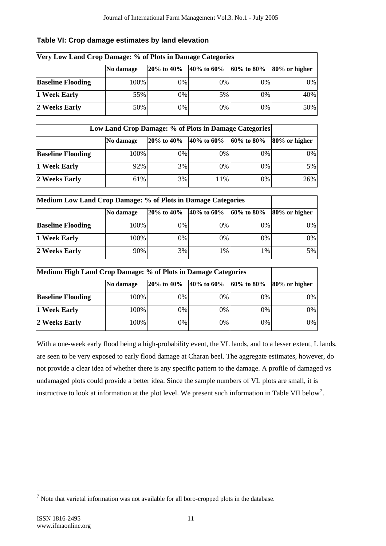| Very Low Land Crop Damage: % of Plots in Damage Categories |           |                |            |                          |                   |
|------------------------------------------------------------|-----------|----------------|------------|--------------------------|-------------------|
|                                                            | No damage | $120\%$ to 40% | 40% to 60% | $ 60\% \text{ to } 80\%$ | $ 80\%$ or higher |
| <b>Baseline Flooding</b>                                   | 100%      | $0\%$          | 0%         | $0\%$                    | $0\%$             |
| 1 Week Early                                               | 55%       | 0%             | 5%         | 0%                       | 40%               |
| 2 Weeks Early                                              | 50%       | 0%             | 0%         | $0\%$                    | 50%               |

#### **Table VI: Crop damage estimates by land elevation**

| Low Land Crop Damage: % of Plots in Damage Categories |           |                |              |                |               |
|-------------------------------------------------------|-----------|----------------|--------------|----------------|---------------|
|                                                       | No damage | $120\%$ to 40% | 40\% to 60\% | $160\%$ to 80% | 80% or higher |
| <b>Baseline Flooding</b>                              | 100%      | 0%             | 0%           | $0\%$          | $0\%$         |
| 1 Week Early                                          | 92%       | 3%             | 0%           | 0%             | 5%            |
| 2 Weeks Early                                         | 61%       | 3%             | 11%          | 0%             | 26%           |

| Medium Low Land Crop Damage: % of Plots in Damage Categories |           |                  |            |                          |               |
|--------------------------------------------------------------|-----------|------------------|------------|--------------------------|---------------|
|                                                              | No damage | $20\%$ to $40\%$ | 40% to 60% | $ 60\% \text{ to } 80\%$ | 80% or higher |
| <b>Baseline Flooding</b>                                     | 100%      | $0\%$            | 0%         | $0\%$                    | $0\%$         |
| 1 Week Early                                                 | 100%      | 0%               | 0%         | 0%                       | $0\%$         |
| 2 Weeks Early                                                | 90%       | 3%               | 1%         | 1%                       | $5\%$         |

| Medium High Land Crop Damage: % of Plots in Damage Categories |           |                                                     |    |                |               |
|---------------------------------------------------------------|-----------|-----------------------------------------------------|----|----------------|---------------|
|                                                               | No damage | $ 20\% \text{ to } 40\% $ $ 40\% \text{ to } 60\% $ |    | $160\%$ to 80% | 80% or higher |
| <b>Baseline Flooding</b>                                      | 100%      | 0%                                                  | 0% | $0\%$          | $0\%$         |
| 1 Week Early                                                  | 100%      | 0%                                                  | 0% | 0%             | $0\%$         |
| 2 Weeks Early                                                 | 100%      | 0%                                                  | 0% | 0%             | $0\%$         |

With a one-week early flood being a high-probability event, the VL lands, and to a lesser extent, L lands, are seen to be very exposed to early flood damage at Charan beel. The aggregate estimates, however, do not provide a clear idea of whether there is any specific pattern to the damage. A profile of damaged vs undamaged plots could provide a better idea. Since the sample numbers of VL plots are small, it is instructive to look at information at the plot level. We present such information in Table VII below<sup>7</sup>.

 $\overline{a}$ 

 $<sup>7</sup>$  Note that varietal information was not available for all boro-cropped plots in the database.</sup>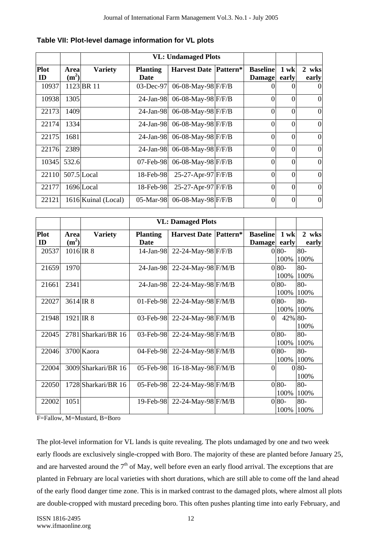|             |                   |                     | <b>VL: Undamaged Plots</b> |                              |                 |          |                  |
|-------------|-------------------|---------------------|----------------------------|------------------------------|-----------------|----------|------------------|
| <b>Plot</b> | <b>Area</b>       | <b>Variety</b>      | <b>Planting</b>            | <b>Harvest Date Pattern*</b> | <b>Baseline</b> | $1$ wk   | 2 wks            |
| ID          | (m <sup>2</sup> ) |                     | <b>Date</b>                |                              | <b>Damage</b>   | early    | early            |
| 10937       |                   | 1123 BR 11          | $03$ -Dec-97               | 06-08-May-98 F/F/B           |                 |          | $\theta$         |
| 10938       | 1305              |                     | $24$ -Jan-98               | 06-08-May-98 F/F/B           | $\Omega$        | 0        | $\overline{0}$   |
| 22173       | 1409              |                     | $24$ -Jan-98               | 06-08-May-98 F/F/B           | $\theta$        | $\theta$ | $\overline{0}$   |
| 22174       | 1334              |                     | 24-Jan-98                  | 06-08-May-98 F/F/B           | $\Omega$        | $\theta$ | $\theta$         |
| 22175       | 1681              |                     | 24-Jan-981                 | 06-08-May-98 F/F/B           | $\Omega$        | $\Omega$ | $\overline{0}$   |
| 22176       | 2389              |                     | $24$ -Jan-98               | 06-08-May-98 F/F/B           | $\Omega$        | $\Omega$ | $\overline{0}$   |
| 10345       | 532.6             |                     | $07$ -Feb-98               | 06-08-May-98 F/F/B           | $\Omega$        | $\Omega$ | $\overline{0}$   |
| 22110       |                   | $507.5$ Local       | 18-Feb-98                  | $25-27$ -Apr-97 F/F/B        | $\Omega$        | $\theta$ | $\overline{0}$   |
| 22177       |                   | 1696 Local          | 18-Feb-98                  | $25-27$ -Apr-97 F/F/B        | $\Omega$        | $\Omega$ | $\overline{0}$   |
| 22121       |                   | 1616 Kuinal (Local) | $05-Mar-98$                | 06-08-May-98 F/F/B           | $\Omega$        | $\Omega$ | $\boldsymbol{0}$ |

|  |  |  | Table VII: Plot-level damage information for VL plots |  |  |
|--|--|--|-------------------------------------------------------|--|--|
|--|--|--|-------------------------------------------------------|--|--|

|                   |                           |                     |                         | <b>VL: Damaged Plots</b>     |                                  |                         |                 |
|-------------------|---------------------------|---------------------|-------------------------|------------------------------|----------------------------------|-------------------------|-----------------|
| <b>Plot</b><br>ID | Area<br>(m <sup>2</sup> ) | <b>Variety</b>      | <b>Planting</b><br>Date | <b>Harvest Date Pattern*</b> | <b>Baseline</b><br><b>Damage</b> | $1$ wk<br>early         | 2 wks<br>early  |
| 20537             | 1016 IR 8                 |                     | $14$ -Jan-98            | 22-24-May-98 F/F/B           |                                  | 0 <sup>80</sup><br>100% | $80 -$<br>100%  |
| 21659             | 1970                      |                     | 24-Jan-98               | 22-24-May-98 F/M/B           |                                  | $0\,80-$<br>100%        | $80 -$<br>100%  |
| 21661             | 2341                      |                     | $24$ -Jan-98            | 22-24-May-98 F/M/B           |                                  | $080-$<br>100%          | $80 -$<br>100%  |
| 22027             | $3614$ IR 8               |                     | $01$ -Feb-98            | 22-24-May-98 F/M/B           |                                  | 0 <sup>80</sup><br>100% | 80-<br>100%     |
| 21948             | $1921$ IR 8               |                     | $03$ -Feb-98            | 22-24-May-98 F/M/B           | $\Omega$                         | 42% 80-                 | 100%            |
| 22045             |                           | 2781 Sharkari/BR 16 | $03$ -Feb-98            | 22-24-May-98 F/M/B           |                                  | $080 -$<br>100%         | $80 -$<br>100%  |
| 22046             |                           | 3700 Kaora          | 04-Feb-98               | 22-24-May-98 F/M/B           |                                  | $0 80-$<br>100%         | 80-<br>100%     |
| 22004             |                           | 3009 Sharkari/BR 16 | $05$ -Feb-98            | 16-18-May-98 F/M/B           | $\boldsymbol{0}$                 |                         | $0 80-$<br>100% |
| 22050             |                           | 1728 Sharkari/BR 16 | 05-Feb-98               | 22-24-May-98 F/M/B           |                                  | $080 -$<br>100%         | $80 -$<br>100%  |
| 22002             | 1051                      |                     | $19$ -Feb-98            | 22-24-May-98 F/M/B           |                                  | 0 <sup>80</sup><br>100% | $80 -$<br>100%  |

F=Fallow, M=Mustard, B=Boro

The plot-level information for VL lands is quite revealing. The plots undamaged by one and two week early floods are exclusively single-cropped with Boro. The majority of these are planted before January 25, and are harvested around the  $7<sup>th</sup>$  of May, well before even an early flood arrival. The exceptions that are planted in February are local varieties with short durations, which are still able to come off the land ahead of the early flood danger time zone. This is in marked contrast to the damaged plots, where almost all plots are double-cropped with mustard preceding boro. This often pushes planting time into early February, and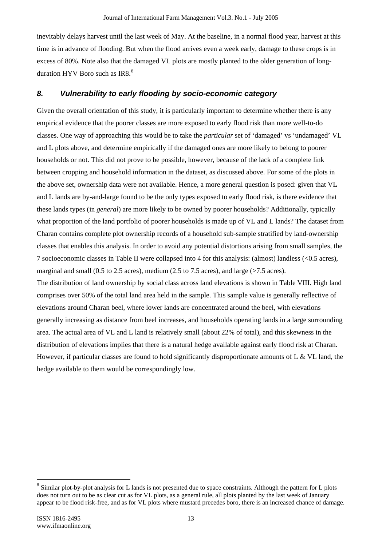inevitably delays harvest until the last week of May. At the baseline, in a normal flood year, harvest at this time is in advance of flooding. But when the flood arrives even a week early, damage to these crops is in excess of 80%. Note also that the damaged VL plots are mostly planted to the older generation of longduration HYV Boro such as  $IR8<sup>8</sup>$ 

### *8. Vulnerability to early flooding by socio-economic category*

Given the overall orientation of this study, it is particularly important to determine whether there is any empirical evidence that the poorer classes are more exposed to early flood risk than more well-to-do classes. One way of approaching this would be to take the *particular* set of 'damaged' vs 'undamaged' VL and L plots above, and determine empirically if the damaged ones are more likely to belong to poorer households or not. This did not prove to be possible, however, because of the lack of a complete link between cropping and household information in the dataset, as discussed above. For some of the plots in the above set, ownership data were not available. Hence, a more general question is posed: given that VL and L lands are by-and-large found to be the only types exposed to early flood risk, is there evidence that these lands types (in *general*) are more likely to be owned by poorer households? Additionally, typically what proportion of the land portfolio of poorer households is made up of VL and L lands? The dataset from Charan contains complete plot ownership records of a household sub-sample stratified by land-ownership classes that enables this analysis. In order to avoid any potential distortions arising from small samples, the 7 socioeconomic classes in Table II were collapsed into 4 for this analysis: (almost) landless (<0.5 acres), marginal and small (0.5 to 2.5 acres), medium (2.5 to 7.5 acres), and large (>7.5 acres). The distribution of land ownership by social class across land elevations is shown in Table VIII. High land comprises over 50% of the total land area held in the sample. This sample value is generally reflective of elevations around Charan beel, where lower lands are concentrated around the beel, with elevations generally increasing as distance from beel increases, and households operating lands in a large surrounding area. The actual area of VL and L land is relatively small (about 22% of total), and this skewness in the distribution of elevations implies that there is a natural hedge available against early flood risk at Charan. However, if particular classes are found to hold significantly disproportionate amounts of L & VL land, the hedge available to them would be correspondingly low.

 $\overline{a}$ 

 $8$  Similar plot-by-plot analysis for L lands is not presented due to space constraints. Although the pattern for L plots does not turn out to be as clear cut as for VL plots, as a general rule, all plots planted by the last week of January appear to be flood risk-free, and as for VL plots where mustard precedes boro, there is an increased chance of damage.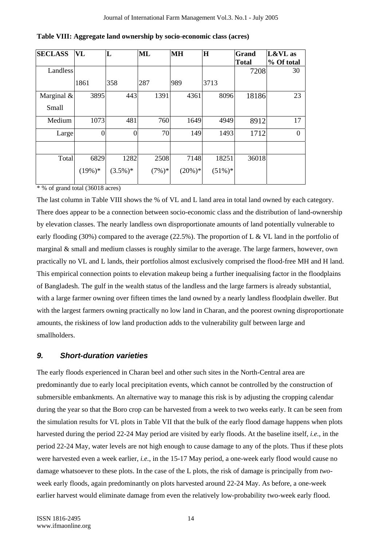| <b>SECLASS</b> | <b>VL</b>        | L          | ML        | <b>MH</b> | $\mathbf{H}$ | Grand        | $L&VL$ as  |
|----------------|------------------|------------|-----------|-----------|--------------|--------------|------------|
|                |                  |            |           |           |              | <b>Total</b> | % Of total |
| Landless       |                  |            |           |           |              | 7208         | 30         |
|                | 1861             | 358        | 287       | 989       | 3713         |              |            |
| Marginal $\&$  | 3895             | 443        | 1391      | 4361      | 8096         | 18186        | 23         |
| Small          |                  |            |           |           |              |              |            |
| Medium         | 1073             | 481        | 760       | 1649      | 4949         | 8912         | 17         |
| Large          | $\boldsymbol{0}$ | $\Omega$   | 70        | 149       | 1493         | 1712         | $\Omega$   |
|                |                  |            |           |           |              |              |            |
| Total          | 6829             | 1282       | 2508      | 7148      | 18251        | 36018        |            |
|                | $(19\%)*$        | $(3.5\%)*$ | $(7\%)^*$ | $(20\%)*$ | $(51\%)*$    |              |            |

**Table VIII: Aggregate land ownership by socio-economic class (acres)** 

\* % of grand total (36018 acres)

The last column in Table VIII shows the % of VL and L land area in total land owned by each category. There does appear to be a connection between socio-economic class and the distribution of land-ownership by elevation classes. The nearly landless own disproportionate amounts of land potentially vulnerable to early flooding (30%) compared to the average (22.5%). The proportion of L & VL land in the portfolio of marginal & small and medium classes is roughly similar to the average. The large farmers, however, own practically no VL and L lands, their portfolios almost exclusively comprised the flood-free MH and H land. This empirical connection points to elevation makeup being a further inequalising factor in the floodplains of Bangladesh. The gulf in the wealth status of the landless and the large farmers is already substantial, with a large farmer owning over fifteen times the land owned by a nearly landless floodplain dweller. But with the largest farmers owning practically no low land in Charan, and the poorest owning disproportionate amounts, the riskiness of low land production adds to the vulnerability gulf between large and smallholders.

#### *9. Short-duration varieties*

The early floods experienced in Charan beel and other such sites in the North-Central area are predominantly due to early local precipitation events, which cannot be controlled by the construction of submersible embankments. An alternative way to manage this risk is by adjusting the cropping calendar during the year so that the Boro crop can be harvested from a week to two weeks early. It can be seen from the simulation results for VL plots in Table VII that the bulk of the early flood damage happens when plots harvested during the period 22-24 May period are visited by early floods. At the baseline itself, *i.e.*, in the period 22-24 May, water levels are not high enough to cause damage to any of the plots. Thus if these plots were harvested even a week earlier, *i.e.*, in the 15-17 May period, a one-week early flood would cause no damage whatsoever to these plots. In the case of the L plots, the risk of damage is principally from *two*week early floods, again predominantly on plots harvested around 22-24 May. As before, a one-week earlier harvest would eliminate damage from even the relatively low-probability two-week early flood.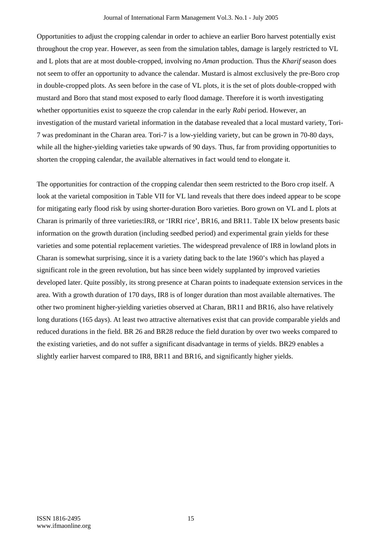Opportunities to adjust the cropping calendar in order to achieve an earlier Boro harvest potentially exist throughout the crop year. However, as seen from the simulation tables, damage is largely restricted to VL and L plots that are at most double-cropped, involving no *Aman* production. Thus the *Kharif* season does not seem to offer an opportunity to advance the calendar. Mustard is almost exclusively the pre-Boro crop in double-cropped plots. As seen before in the case of VL plots, it is the set of plots double-cropped with mustard and Boro that stand most exposed to early flood damage. Therefore it is worth investigating whether opportunities exist to squeeze the crop calendar in the early *Rabi* period. However, an investigation of the mustard varietal information in the database revealed that a local mustard variety, Tori-7 was predominant in the Charan area. Tori-7 is a low-yielding variety, but can be grown in 70-80 days, while all the higher-yielding varieties take upwards of 90 days. Thus, far from providing opportunities to shorten the cropping calendar, the available alternatives in fact would tend to elongate it.

The opportunities for contraction of the cropping calendar then seem restricted to the Boro crop itself. A look at the varietal composition in Table VII for VL land reveals that there does indeed appear to be scope for mitigating early flood risk by using shorter-duration Boro varieties. Boro grown on VL and L plots at Charan is primarily of three varieties:IR8, or 'IRRI rice', BR16, and BR11. Table IX below presents basic information on the growth duration (including seedbed period) and experimental grain yields for these varieties and some potential replacement varieties. The widespread prevalence of IR8 in lowland plots in Charan is somewhat surprising, since it is a variety dating back to the late 1960's which has played a significant role in the green revolution, but has since been widely supplanted by improved varieties developed later. Quite possibly, its strong presence at Charan points to inadequate extension services in the area. With a growth duration of 170 days, IR8 is of longer duration than most available alternatives. The other two prominent higher-yielding varieties observed at Charan, BR11 and BR16, also have relatively long durations (165 days). At least two attractive alternatives exist that can provide comparable yields and reduced durations in the field. BR 26 and BR28 reduce the field duration by over two weeks compared to the existing varieties, and do not suffer a significant disadvantage in terms of yields. BR29 enables a slightly earlier harvest compared to IR8, BR11 and BR16, and significantly higher yields.